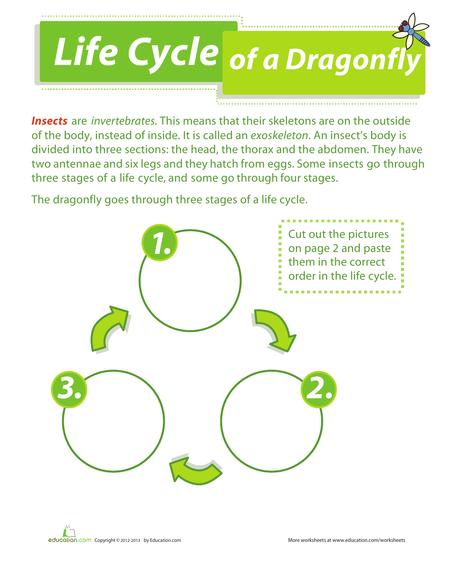

*Insects* are *invertebrates.* This means that their skeletons are on the outside of the body, instead of inside. It is called an *exoskeleton*. An insect's body is divided into three sections: the head, the thorax and the abdomen. They have two antennae and six legs and they hatch from eggs. Some insects go through three stages of a life cycle, and some go through four stages.

The dragonfly goes through three stages of a life cycle.